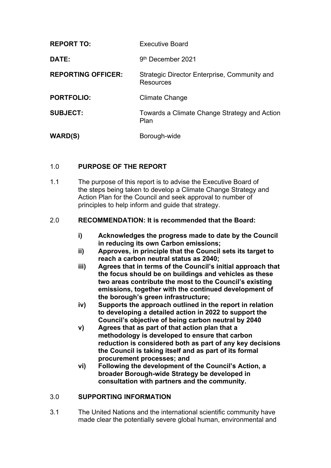| <b>REPORT TO:</b>         | <b>Executive Board</b>                                    |
|---------------------------|-----------------------------------------------------------|
| DATE:                     | 9 <sup>th</sup> December 2021                             |
| <b>REPORTING OFFICER:</b> | Strategic Director Enterprise, Community and<br>Resources |
| <b>PORTFOLIO:</b>         | Climate Change                                            |
| <b>SUBJECT:</b>           | Towards a Climate Change Strategy and Action<br>Plan      |
| <b>WARD(S)</b>            | Borough-wide                                              |

# 1.0 **PURPOSE OF THE REPORT**

1.1 The purpose of this report is to advise the Executive Board of the steps being taken to develop a Climate Change Strategy and Action Plan for the Council and seek approval to number of principles to help inform and guide that strategy.

## 2.0 **RECOMMENDATION: It is recommended that the Board:**

- **i) Acknowledges the progress made to date by the Council in reducing its own Carbon emissions;**
- **ii) Approves, in principle that the Council sets its target to reach a carbon neutral status as 2040;**
- **iii) Agrees that in terms of the Council's initial approach that the focus should be on buildings and vehicles as these two areas contribute the most to the Council's existing emissions, together with the continued development of the borough's green infrastructure;**
- **iv) Supports the approach outlined in the report in relation to developing a detailed action in 2022 to support the Council's objective of being carbon neutral by 2040**
- **v) Agrees that as part of that action plan that a methodology is developed to ensure that carbon reduction is considered both as part of any key decisions the Council is taking itself and as part of its formal procurement processes; and**
- **vi) Following the development of the Council's Action, a broader Borough-wide Strategy be developed in consultation with partners and the community.**

## 3.0 **SUPPORTING INFORMATION**

3.1 The United Nations and the international scientific community have made clear the potentially severe global human, environmental and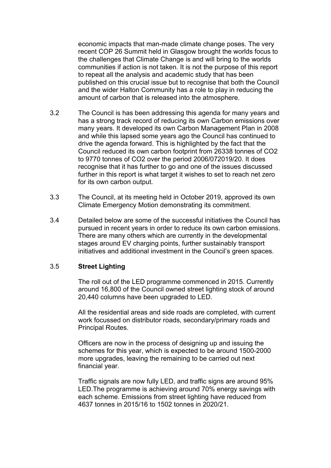economic impacts that man-made climate change poses. The very recent COP 26 Summit held in Glasgow brought the worlds focus to the challenges that Climate Change is and will bring to the worlds communities if action is not taken. It is not the purpose of this report to repeat all the analysis and academic study that has been published on this crucial issue but to recognise that both the Council and the wider Halton Community has a role to play in reducing the amount of carbon that is released into the atmosphere.

- 3.2 The Council is has been addressing this agenda for many years and has a strong track record of reducing its own Carbon emissions over many years. It developed its own Carbon Management Plan in 2008 and while this lapsed some years ago the Council has continued to drive the agenda forward. This is highlighted by the fact that the Council reduced its own carbon footprint from 26338 tonnes of CO2 to 9770 tonnes of CO2 over the period 2006/072019/20. It does recognise that it has further to go and one of the issues discussed further in this report is what target it wishes to set to reach net zero for its own carbon output.
- 3.3 The Council, at its meeting held in October 2019, approved its own Climate Emergency Motion demonstrating its commitment.
- 3.4 Detailed below are some of the successful initiatives the Council has pursued in recent years in order to reduce its own carbon emissions. There are many others which are currently in the developmental stages around EV charging points, further sustainably transport initiatives and additional investment in the Council's green spaces.

### 3.5 **Street Lighting**

The roll out of the LED programme commenced in 2015. Currently around 16,800 of the Council owned street lighting stock of around 20,440 columns have been upgraded to LED.

All the residential areas and side roads are completed, with current work focussed on distributor roads, secondary/primary roads and Principal Routes.

Officers are now in the process of designing up and issuing the schemes for this year, which is expected to be around 1500-2000 more upgrades, leaving the remaining to be carried out next financial year.

Traffic signals are now fully LED, and traffic signs are around 95% LED.The programme is achieving around 70% energy savings with each scheme. Emissions from street lighting have reduced from 4637 tonnes in 2015/16 to 1502 tonnes in 2020/21.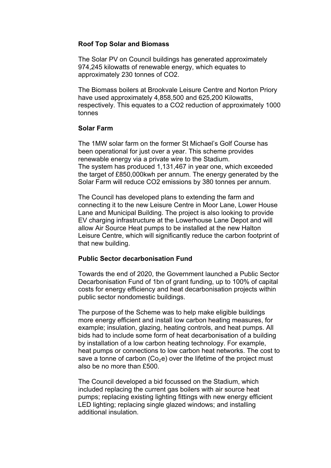### **Roof Top Solar and Biomass**

The Solar PV on Council buildings has generated approximately 974,245 kilowatts of renewable energy, which equates to approximately 230 tonnes of CO2.

The Biomass boilers at Brookvale Leisure Centre and Norton Priory have used approximately 4,858,500 and 625,200 Kilowatts, respectively. This equates to a CO2 reduction of approximately 1000 tonnes

### **Solar Farm**

The 1MW solar farm on the former St Michael's Golf Course has been operational for just over a year. This scheme provides renewable energy via a private wire to the Stadium. The system has produced 1,131,467 in year one, which exceeded the target of £850,000kwh per annum. The energy generated by the Solar Farm will reduce CO2 emissions by 380 tonnes per annum.

The Council has developed plans to extending the farm and connecting it to the new Leisure Centre in Moor Lane, Lower House Lane and Municipal Building. The project is also looking to provide EV charging infrastructure at the Lowerhouse Lane Depot and will allow Air Source Heat pumps to be installed at the new Halton Leisure Centre, which will significantly reduce the carbon footprint of that new building.

### **Public Sector decarbonisation Fund**

Towards the end of 2020, the Government launched a Public Sector Decarbonisation Fund of 1bn of grant funding, up to 100% of capital costs for energy efficiency and heat decarbonisation projects within public sector nondomestic buildings.

The purpose of the Scheme was to help make eligible buildings more energy efficient and install low carbon heating measures, for example; insulation, glazing, heating controls, and heat pumps. All bids had to include some form of heat decarbonisation of a building by installation of a low carbon heating technology. For example, heat pumps or connections to low carbon heat networks. The cost to save a tonne of carbon  $(Co<sub>2</sub>e)$  over the lifetime of the project must also be no more than £500.

The Council developed a bid focussed on the Stadium, which included replacing the current gas boilers with air source heat pumps; replacing existing lighting fittings with new energy efficient LED lighting; replacing single glazed windows; and installing additional insulation.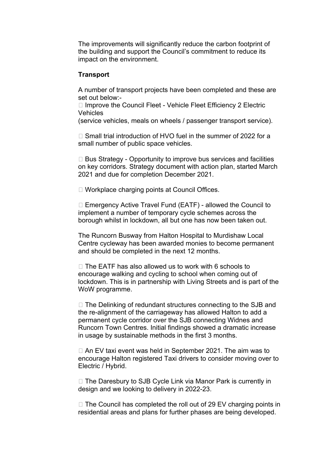The improvements will significantly reduce the carbon footprint of the building and support the Council's commitment to reduce its impact on the environment.

#### **Transport**

A number of transport projects have been completed and these are set out below:-

 $\Box$  Improve the Council Fleet - Vehicle Fleet Efficiency 2 Electric **Vehicles** 

(service vehicles, meals on wheels / passenger transport service).

 $\Box$  Small trial introduction of HVO fuel in the summer of 2022 for a small number of public space vehicles.

 $\Box$  Bus Strategy - Opportunity to improve bus services and facilities on key corridors. Strategy document with action plan, started March 2021 and due for completion December 2021.

□ Workplace charging points at Council Offices.

 $\Box$  Emergency Active Travel Fund (EATF) - allowed the Council to implement a number of temporary cycle schemes across the borough whilst in lockdown, all but one has now been taken out.

The Runcorn Busway from Halton Hospital to Murdishaw Local Centre cycleway has been awarded monies to become permanent and should be completed in the next 12 months.

 $\Box$  The EATF has also allowed us to work with 6 schools to encourage walking and cycling to school when coming out of lockdown. This is in partnership with Living Streets and is part of the WoW programme.

 $\Box$  The Delinking of redundant structures connecting to the SJB and the re-alignment of the carriageway has allowed Halton to add a permanent cycle corridor over the SJB connecting Widnes and Runcorn Town Centres. Initial findings showed a dramatic increase in usage by sustainable methods in the first 3 months.

 $\Box$  An EV taxi event was held in September 2021. The aim was to encourage Halton registered Taxi drivers to consider moving over to Electric / Hybrid.

 $\Box$  The Daresbury to SJB Cycle Link via Manor Park is currently in design and we looking to delivery in 2022-23.

 $\Box$  The Council has completed the roll out of 29 EV charging points in residential areas and plans for further phases are being developed.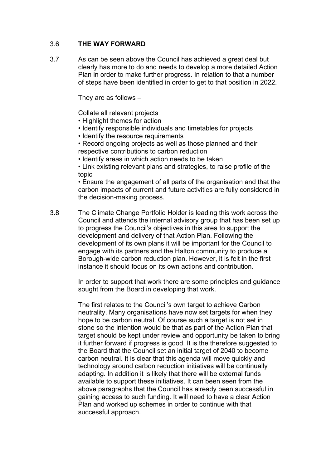## 3.6 **THE WAY FORWARD**

3.7 As can be seen above the Council has achieved a great deal but clearly has more to do and needs to develop a more detailed Action Plan in order to make further progress. In relation to that a number of steps have been identified in order to get to that position in 2022.

They are as follows –

Collate all relevant projects

- Highlight themes for action
- Identify responsible individuals and timetables for projects
- Identify the resource requirements
- Record ongoing projects as well as those planned and their respective contributions to carbon reduction
- Identify areas in which action needs to be taken

• Link existing relevant plans and strategies, to raise profile of the topic

• Ensure the engagement of all parts of the organisation and that the carbon impacts of current and future activities are fully considered in the decision-making process.

3.8 The Climate Change Portfolio Holder is leading this work across the Council and attends the internal advisory group that has been set up to progress the Council's objectives in this area to support the development and delivery of that Action Plan. Following the development of its own plans it will be important for the Council to engage with its partners and the Halton community to produce a Borough-wide carbon reduction plan. However, it is felt in the first instance it should focus on its own actions and contribution.

> In order to support that work there are some principles and guidance sought from the Board in developing that work.

> The first relates to the Council's own target to achieve Carbon neutrality. Many organisations have now set targets for when they hope to be carbon neutral. Of course such a target is not set in stone so the intention would be that as part of the Action Plan that target should be kept under review and opportunity be taken to bring it further forward if progress is good. It is the therefore suggested to the Board that the Council set an initial target of 2040 to become carbon neutral. It is clear that this agenda will move quickly and technology around carbon reduction initiatives will be continually adapting. In addition it is likely that there will be external funds available to support these initiatives. It can been seen from the above paragraphs that the Council has already been successful in gaining access to such funding. It will need to have a clear Action Plan and worked up schemes in order to continue with that successful approach.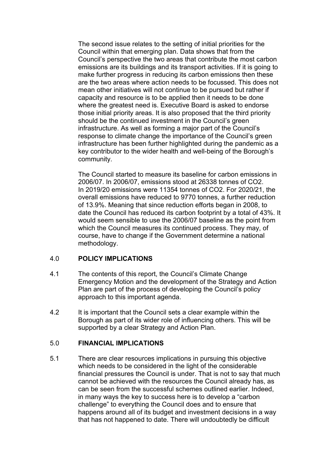The second issue relates to the setting of initial priorities for the Council within that emerging plan. Data shows that from the Council's perspective the two areas that contribute the most carbon emissions are its buildings and its transport activities. If it is going to make further progress in reducing its carbon emissions then these are the two areas where action needs to be focussed. This does not mean other initiatives will not continue to be pursued but rather if capacity and resource is to be applied then it needs to be done where the greatest need is. Executive Board is asked to endorse those initial priority areas. It is also proposed that the third priority should be the continued investment in the Council's green infrastructure. As well as forming a major part of the Council's response to climate change the importance of the Council's green infrastructure has been further highlighted during the pandemic as a key contributor to the wider health and well-being of the Borough's community.

The Council started to measure its baseline for carbon emissions in 2006/07. In 2006/07, emissions stood at 26338 tonnes of CO2. In 2019/20 emissions were 11354 tonnes of CO2. For 2020/21, the overall emissions have reduced to 9770 tonnes, a further reduction of 13.9%. Meaning that since reduction efforts began in 2008, to date the Council has reduced its carbon footprint by a total of 43%. It would seem sensible to use the 2006/07 baseline as the point from which the Council measures its continued process. They may, of course, have to change if the Government determine a national methodology.

### 4.0 **POLICY IMPLICATIONS**

- 4.1 The contents of this report, the Council's Climate Change Emergency Motion and the development of the Strategy and Action Plan are part of the process of developing the Council's policy approach to this important agenda.
- 4.2 It is important that the Council sets a clear example within the Borough as part of its wider role of influencing others. This will be supported by a clear Strategy and Action Plan.

### 5.0 **FINANCIAL IMPLICATIONS**

5.1 There are clear resources implications in pursuing this objective which needs to be considered in the light of the considerable financial pressures the Council is under. That is not to say that much cannot be achieved with the resources the Council already has, as can be seen from the successful schemes outlined earlier. Indeed, in many ways the key to success here is to develop a "carbon challenge" to everything the Council does and to ensure that happens around all of its budget and investment decisions in a way that has not happened to date. There will undoubtedly be difficult